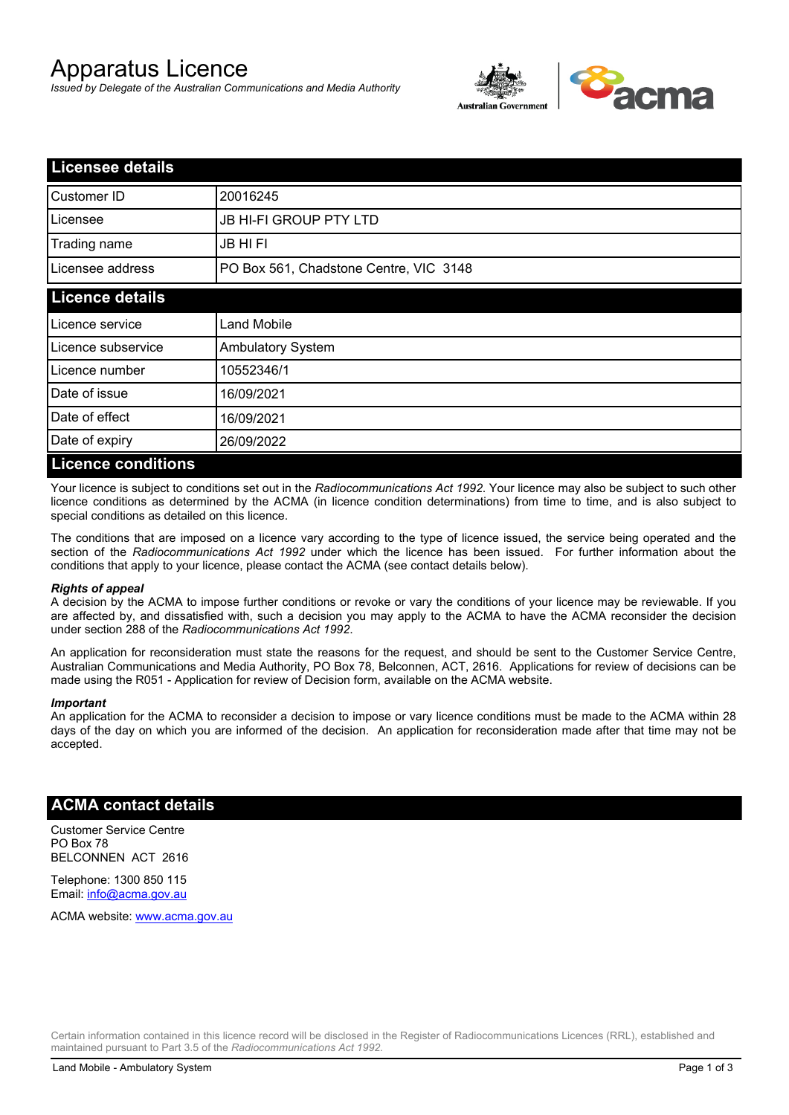# Apparatus Licence

*Issued by Delegate of the Australian Communications and Media Authority*



| <b>Licensee details</b>   |                                        |  |
|---------------------------|----------------------------------------|--|
| Customer ID               | 20016245                               |  |
| Licensee                  | <b>JB HI-FI GROUP PTY LTD</b>          |  |
| Trading name              | <b>JB HIFI</b>                         |  |
| Licensee address          | PO Box 561, Chadstone Centre, VIC 3148 |  |
| <b>Licence details</b>    |                                        |  |
| Licence service           | <b>Land Mobile</b>                     |  |
| Licence subservice        | Ambulatory System                      |  |
| Licence number            | 10552346/1                             |  |
| Date of issue             | 16/09/2021                             |  |
| Date of effect            | 16/09/2021                             |  |
| Date of expiry            | 26/09/2022                             |  |
| <b>Licence conditions</b> |                                        |  |

Your licence is subject to conditions set out in the *Radiocommunications Act 1992*. Your licence may also be subject to such other licence conditions as determined by the ACMA (in licence condition determinations) from time to time, and is also subject to special conditions as detailed on this licence.

The conditions that are imposed on a licence vary according to the type of licence issued, the service being operated and the section of the *Radiocommunications Act 1992* under which the licence has been issued. For further information about the conditions that apply to your licence, please contact the ACMA (see contact details below).

#### *Rights of appeal*

A decision by the ACMA to impose further conditions or revoke or vary the conditions of your licence may be reviewable. If you are affected by, and dissatisfied with, such a decision you may apply to the ACMA to have the ACMA reconsider the decision under section 288 of the *Radiocommunications Act 1992*.

An application for reconsideration must state the reasons for the request, and should be sent to the Customer Service Centre, Australian Communications and Media Authority, PO Box 78, Belconnen, ACT, 2616. Applications for review of decisions can be made using the R051 - Application for review of Decision form, available on the ACMA website.

#### *Important*

An application for the ACMA to reconsider a decision to impose or vary licence conditions must be made to the ACMA within 28 days of the day on which you are informed of the decision. An application for reconsideration made after that time may not be accepted.

### **ACMA contact details**

Customer Service Centre PO Box 78 BELCONNEN ACT 2616

Telephone: 1300 850 115 Email: info@acma.gov.au

ACMA website: www.acma.gov.au

Certain information contained in this licence record will be disclosed in the Register of Radiocommunications Licences (RRL), established and maintained pursuant to Part 3.5 of the *Radiocommunications Act 1992.*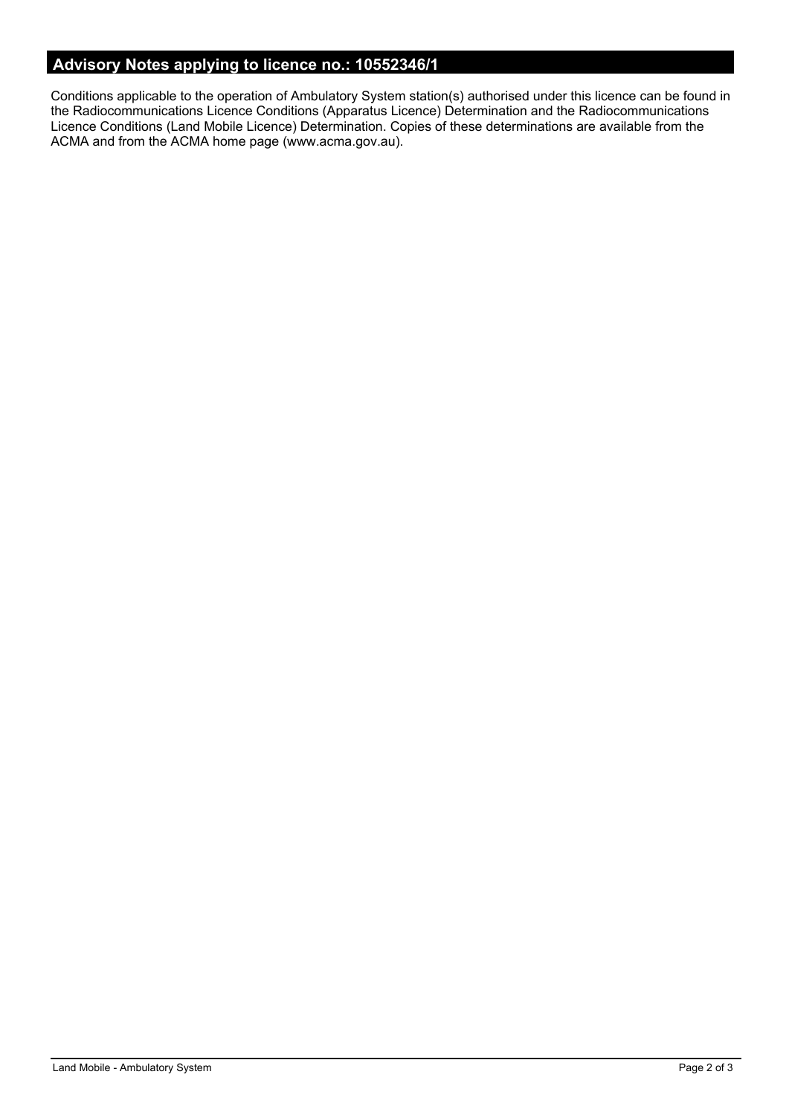# **Advisory Notes applying to licence no.: 10552346/1**

Conditions applicable to the operation of Ambulatory System station(s) authorised under this licence can be found in the Radiocommunications Licence Conditions (Apparatus Licence) Determination and the Radiocommunications Licence Conditions (Land Mobile Licence) Determination. Copies of these determinations are available from the ACMA and from the ACMA home page (www.acma.gov.au).